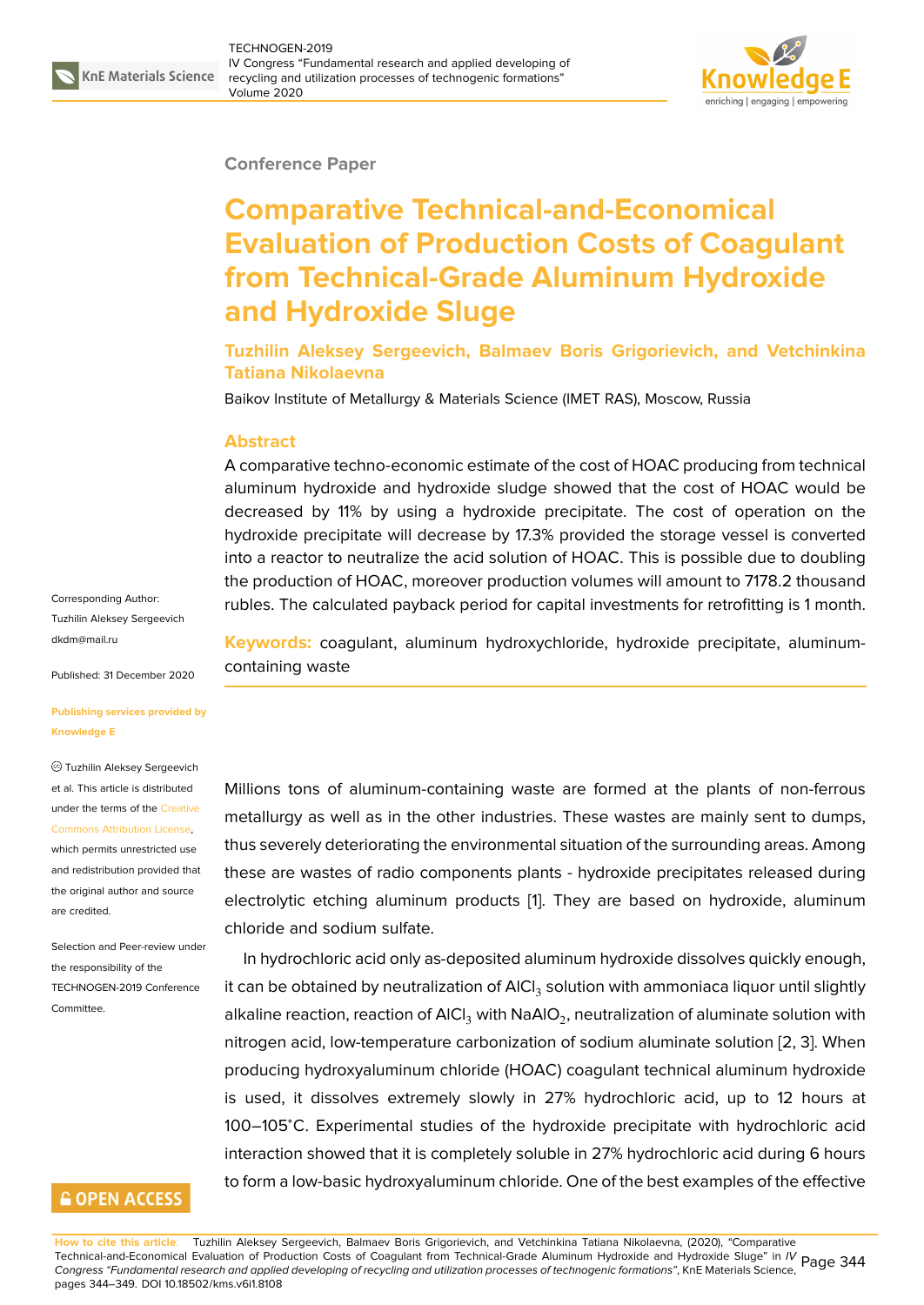## **Conference Paper**

# **Comparative Technical-and-Economical Evaluation of Production Costs of Coagulant from Technical-Grade Aluminum Hydroxide and Hydroxide Sluge**

## **Tuzhilin Aleksey Sergeevich, Balmaev Boris Grigorievich, and Vetchinkina Tatiana Nikolaevna**

Baikov Institute of Metallurgy & Materials Science (IMET RAS), Moscow, Russia

## **Abstract**

A comparative techno-economic estimate of the cost of HOAC producing from technical aluminum hydroxide and hydroxide sludge showed that the cost of HOAC would be decreased by 11% by using a hydroxide precipitate. The cost of operation on the hydroxide precipitate will decrease by 17.3% provided the storage vessel is converted into a reactor to neutralize the acid solution of HOAC. This is possible due to doubling the production of HOAC, moreover production volumes will amount to 7178.2 thousand rubles. The calculated payback period for capital investments for retrofitting is 1 month.

**Keywords:** coagulant, aluminum hydroxychloride, hydroxide precipitate, aluminumcontaining waste

Millions tons of aluminum-containing waste are formed at the plants of non-ferrous metallurgy as well as in the other industries. These wastes are mainly sent to dumps, thus severely deteriorating the environmental situation of the surrounding areas. Among these are wastes of radio components plants - hydroxide precipitates released during electrolytic etching aluminum products [1]. They are based on hydroxide, aluminum chloride and sodium sulfate.

In hydrochloric acid only as-deposited aluminum hydroxide dissolves quickly enough, it can be obtained by neutra[l](#page-4-0)ization of  $\mathsf{AICI}_3$  solution with ammoniaca liquor until slightly alkaline reaction, reaction of AICl $_3$  with NaAIO $_2$ , neutralization of aluminate solution with nitrogen acid, low-temperature carbonization of sodium aluminate solution [2, 3]. When producing hydroxyaluminum chloride (HOAC) coagulant technical aluminum hydroxide is used, it dissolves extremely slowly in 27% hydrochloric acid, up to 12 hours at 100–105<sup>∘</sup>C. Experimental studies of the hydroxide precipitate with hydro[ch](#page-5-0)[lo](#page-5-1)ric acid interaction showed that it is completely soluble in 27% hydrochloric acid during 6 hours to form a low-basic hydroxyaluminum chloride. One of the best examples of the effective

Corresponding Author: Tuzhilin Aleksey Sergeevich dkdm@mail.ru

Published: 31 December 2020

#### **[Publishing ser](mailto:dkdm@mail.ru)vices provided by Knowledge E**

### Tuzhilin Aleksey Sergeevich et al. This article is distributed under the terms of the Creative Commons Attribution License, which permits unrestricted use and redistribution provided that

the original author and [source](https://creativecommons.org/licenses/by/4.0/) [are credited.](https://creativecommons.org/licenses/by/4.0/)

Selection and Peer-review under the responsibility of the TECHNOGEN-2019 Conference Committee.

# **GOPEN ACCESS**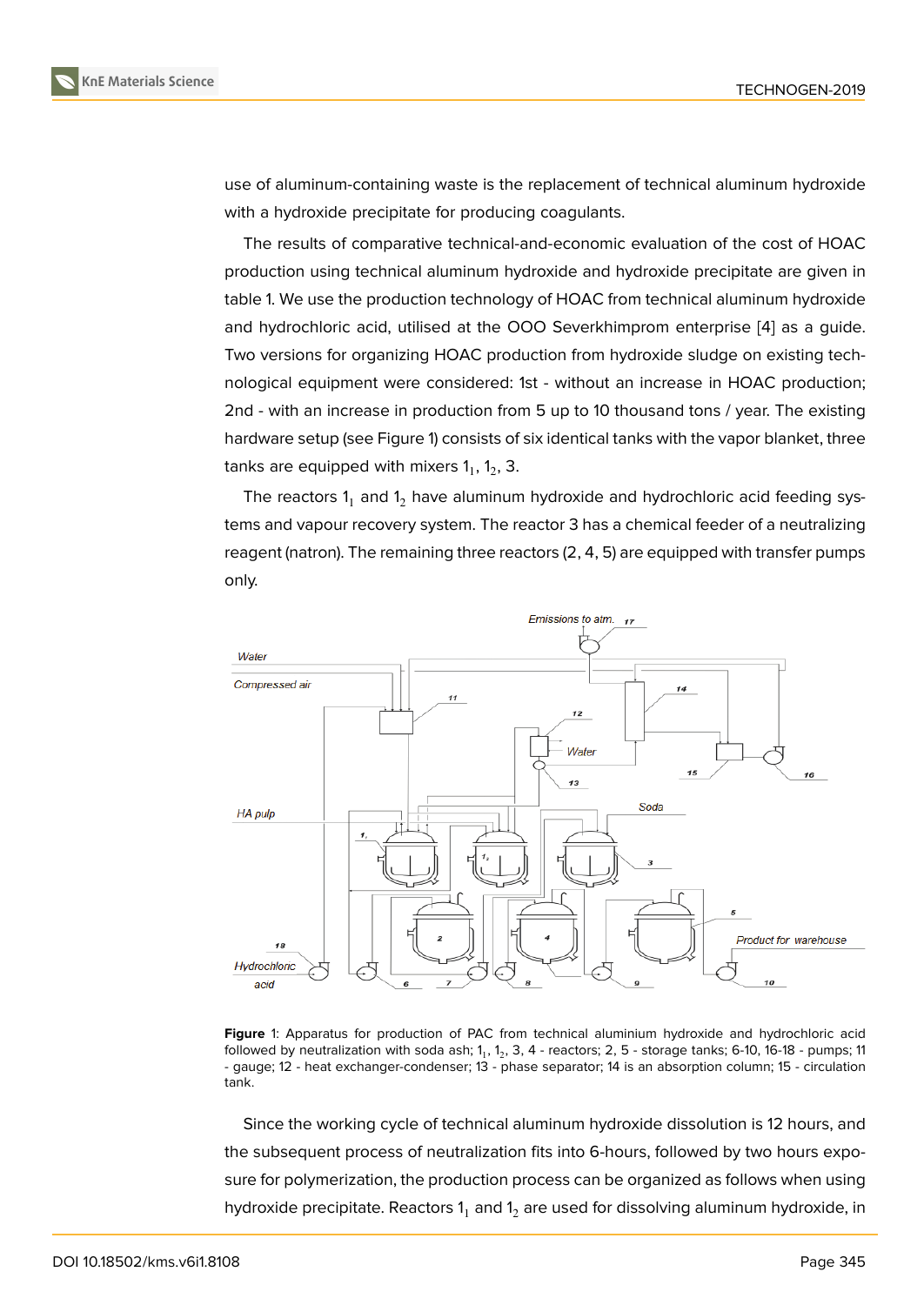use of aluminum-containing waste is the replacement of technical aluminum hydroxide with a hydroxide precipitate for producing coagulants.

The results of comparative technical-and-economic evaluation of the cost of HOAC production using technical aluminum hydroxide and hydroxide precipitate are given in table 1. We use the production technology of HOAC from technical aluminum hydroxide and hydrochloric acid, utilised at the OOO Severkhimprom enterprise [4] as a guide. Two versions for organizing HOAC production from hydroxide sludge on existing technological equipment were considered: 1st - without an increase in HOAC production; 2nd - with an increase in production from 5 up to 10 thousand tons / ye[ar.](#page-5-2) The existing hardware setup (see Figure 1) consists of six identical tanks with the vapor blanket, three tanks are equipped with mixers  $1_{1}$ ,  $1_{2}$ , 3.

The reactors  $1_1$  and  $1_2$  have aluminum hydroxide and hydrochloric acid feeding systems and vapour recovery [sy](#page-1-0)stem. The reactor 3 has a chemical feeder of a neutralizing reagent (natron). The remaining three reactors (2, 4, 5) are equipped with transfer pumps only.



**Figure** 1: Apparatus for production of PAC from technical aluminium hydroxide and hydrochloric acid followed by neutralization with soda ash; 1<sub>1</sub>, 1<sub>2</sub>, 3, 4 - reactors; 2, 5 - storage tanks; 6-10, 16-18 - pumps; 11 - gauge; 12 - heat exchanger-condenser; 13 - phase separator; 14 is an absorption column; 15 - circulation tank.

<span id="page-1-0"></span>Since the working cycle of technical aluminum hydroxide dissolution is 12 hours, and the subsequent process of neutralization fits into 6-hours, followed by two hours exposure for polymerization, the production process can be organized as follows when using hydroxide precipitate. Reactors  $1<sub>1</sub>$  and  $1<sub>2</sub>$  are used for dissolving aluminum hydroxide, in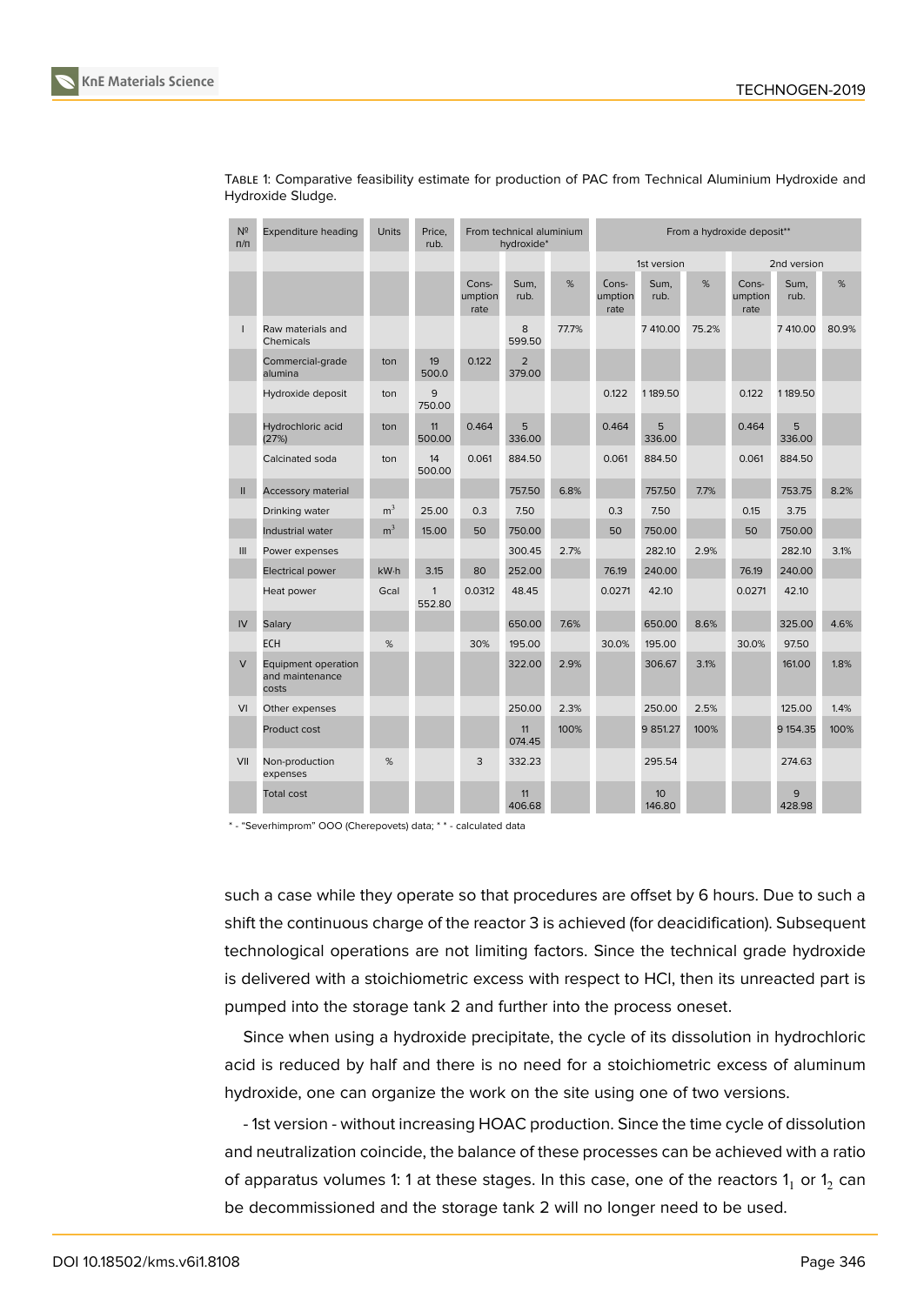

| $N^2$<br>$\Pi/\Pi$ | <b>Expenditure heading</b>                      | <b>Units</b>   | Price,<br>rub.         | From technical aluminium<br>hydroxide* |                          |       | From a hydroxide deposit** |              |             |                          |              |       |
|--------------------|-------------------------------------------------|----------------|------------------------|----------------------------------------|--------------------------|-------|----------------------------|--------------|-------------|--------------------------|--------------|-------|
|                    |                                                 |                |                        |                                        |                          |       | 1st version                |              | 2nd version |                          |              |       |
|                    |                                                 |                |                        | Cons-<br>umption<br>rate               | Sum,<br>rub.             | %     | Cons-<br>umption<br>rate   | Sum,<br>rub. | %           | Cons-<br>umption<br>rate | Sum,<br>rub. | $\%$  |
| $\mathsf{I}$       | Raw materials and<br>Chemicals                  |                |                        |                                        | 8<br>599.50              | 77.7% |                            | 7 410.00     | 75.2%       |                          | 7 410.00     | 80.9% |
|                    | Commercial-grade<br>alumina                     | ton            | 19<br>500.0            | 0.122                                  | $\overline{2}$<br>379.00 |       |                            |              |             |                          |              |       |
|                    | Hydroxide deposit                               | ton            | 9<br>750.00            |                                        |                          |       | 0.122                      | 1189.50      |             | 0.122                    | 1189.50      |       |
|                    | Hydrochloric acid<br>(27%)                      | ton            | 11<br>500.00           | 0.464                                  | 5<br>336.00              |       | 0.464                      | 5<br>336.00  |             | 0.464                    | 5<br>336.00  |       |
|                    | Calcinated soda                                 | ton            | 14<br>500.00           | 0.061                                  | 884.50                   |       | 0.061                      | 884.50       |             | 0.061                    | 884.50       |       |
| $\mathbf{II}$      | Accessory material                              |                |                        |                                        | 757.50                   | 6.8%  |                            | 757.50       | 7.7%        |                          | 753.75       | 8.2%  |
|                    | Drinking water                                  | m <sup>3</sup> | 25.00                  | 0.3                                    | 7.50                     |       | 0.3                        | 7.50         |             | 0.15                     | 3.75         |       |
|                    | Industrial water                                | m <sup>3</sup> | 15.00                  | 50                                     | 750.00                   |       | 50                         | 750.00       |             | 50                       | 750.00       |       |
| III                | Power expenses                                  |                |                        |                                        | 300.45                   | 2.7%  |                            | 282.10       | 2.9%        |                          | 282.10       | 3.1%  |
|                    | <b>Electrical power</b>                         | kW·h           | 3.15                   | 80                                     | 252.00                   |       | 76.19                      | 240.00       |             | 76.19                    | 240.00       |       |
|                    | Heat power                                      | Gcal           | $\mathbf{1}$<br>552.80 | 0.0312                                 | 48.45                    |       | 0.0271                     | 42.10        |             | 0.0271                   | 42.10        |       |
| IV                 | Salary                                          |                |                        |                                        | 650.00                   | 7.6%  |                            | 650.00       | 8.6%        |                          | 325.00       | 4.6%  |
|                    | <b>ECH</b>                                      | %              |                        | 30%                                    | 195.00                   |       | 30.0%                      | 195.00       |             | 30.0%                    | 97.50        |       |
| $\vee$             | Equipment operation<br>and maintenance<br>costs |                |                        |                                        | 322.00                   | 2.9%  |                            | 306.67       | 3.1%        |                          | 161.00       | 1.8%  |
| VI                 | Other expenses                                  |                |                        |                                        | 250.00                   | 2.3%  |                            | 250.00       | 2.5%        |                          | 125.00       | 1.4%  |
|                    | Product cost                                    |                |                        |                                        | 11<br>074.45             | 100%  |                            | 9 851.27     | 100%        |                          | 9 154.35     | 100%  |
| VII                | Non-production<br>expenses                      | %              |                        | 3                                      | 332.23                   |       |                            | 295.54       |             |                          | 274.63       |       |
|                    | <b>Total cost</b>                               |                |                        |                                        | 11<br>406.68             |       |                            | 10<br>146.80 |             |                          | 9<br>428.98  |       |

TABLE 1: Comparative feasibility estimate for production of PAC from Technical Aluminium Hydroxide and Hydroxide Sludge.

\* - "Severhimprom" OOO (Cherepovets) data; \* \* - calculated data

such a case while they operate so that procedures are offset by 6 hours. Due to such a shift the continuous charge of the reactor 3 is achieved (for deacidification). Subsequent technological operations are not limiting factors. Since the technical grade hydroxide is delivered with a stoichiometric excess with respect to HCl, then its unreacted part is pumped into the storage tank 2 and further into the process oneset.

Since when using a hydroxide precipitate, the cycle of its dissolution in hydrochloric acid is reduced by half and there is no need for a stoichiometric excess of aluminum hydroxide, one can organize the work on the site using one of two versions.

- 1st version - without increasing HOAC production. Since the time cycle of dissolution and neutralization coincide, the balance of these processes can be achieved with a ratio of apparatus volumes 1: 1 at these stages. In this case, one of the reactors  $\mathsf{1}_1$  or  $\mathsf{1}_2$  can be decommissioned and the storage tank 2 will no longer need to be used.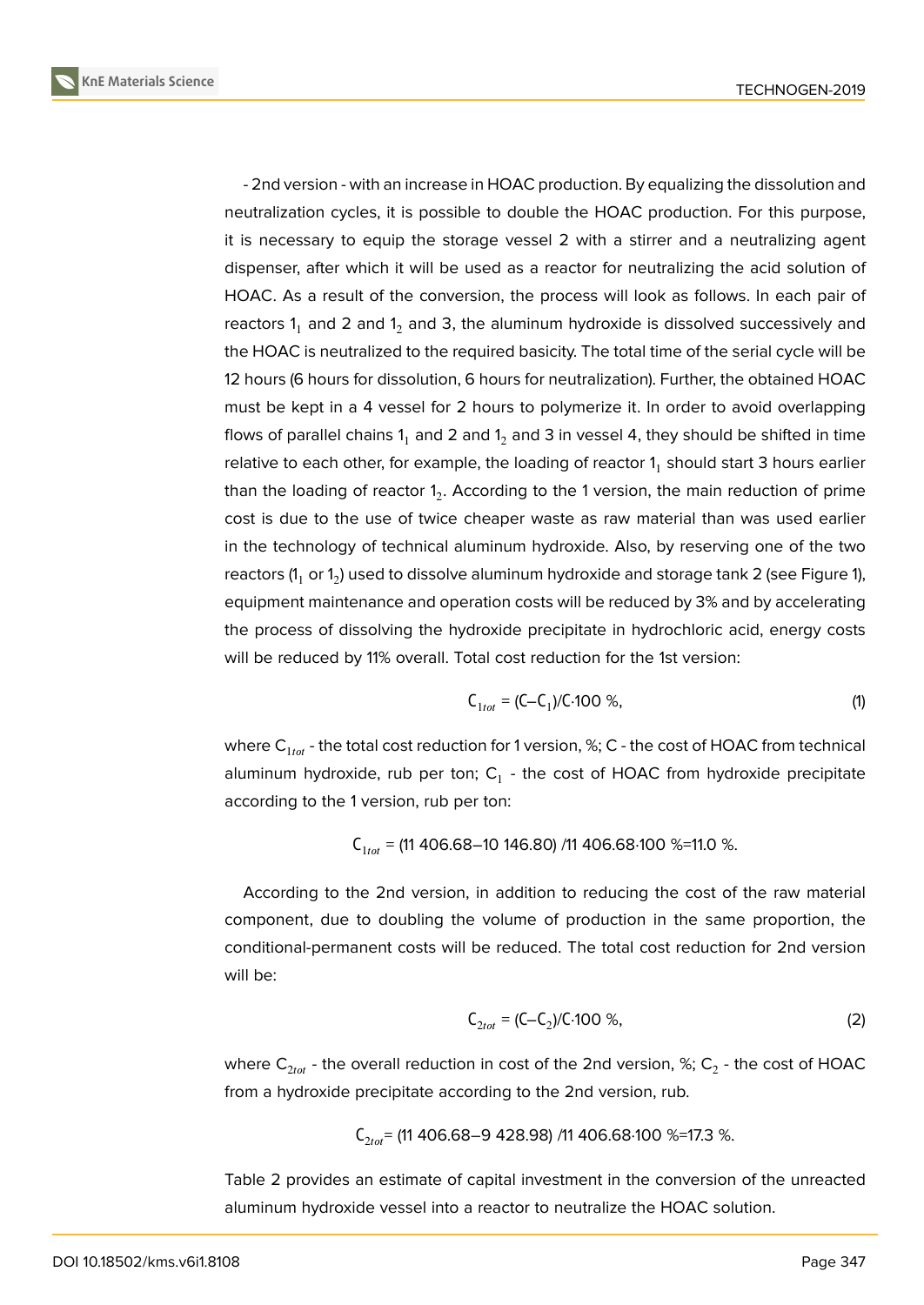- 2nd version - with an increase in HOAC production. By equalizing the dissolution and neutralization cycles, it is possible to double the HOAC production. For this purpose, it is necessary to equip the storage vessel 2 with a stirrer and a neutralizing agent dispenser, after which it will be used as a reactor for neutralizing the acid solution of HOAC. As a result of the conversion, the process will look as follows. In each pair of reactors  $1_1$  and 2 and  $1_2$  and 3, the aluminum hydroxide is dissolved successively and the HOAC is neutralized to the required basicity. The total time of the serial cycle will be 12 hours (6 hours for dissolution, 6 hours for neutralization). Further, the obtained HOAC must be kept in a 4 vessel for 2 hours to polymerize it. In order to avoid overlapping flows of parallel chains  $1<sub>1</sub>$  and  $2$  and  $1<sub>2</sub>$  and  $3$  in vessel 4, they should be shifted in time relative to each other, for example, the loading of reactor  $\mathsf{1}_1$  should start 3 hours earlier than the loading of reactor 1<sub>2</sub>. According to the 1 version, the main reduction of prime cost is due to the use of twice cheaper waste as raw material than was used earlier in the technology of technical aluminum hydroxide. Also, by reserving one of the two reactors (1 $_{\rm 1}$  or 1 $_{\rm 2}$ ) used to dissolve aluminum hydroxide and storage tank 2 (see Figure 1), equipment maintenance and operation costs will be reduced by 3% and by accelerating the process of dissolving the hydroxide precipitate in hydrochloric acid, energy costs will be reduced by 11% overall. Total cost reduction for the 1st version:

$$
C_{1\text{tot}} = (C - C_1)/C.100\% \tag{1}
$$

where  $C_{1 tot}$  - the total cost reduction for 1 version, %; C - the cost of HOAC from technical aluminum hydroxide, rub per ton;  $\mathsf{C}_1$  - the cost of HOAC from hydroxide precipitate according to the 1 version, rub per ton:

$$
\text{C}_{1\text{tot}} = \text{(11 406.68--10 146.80)}/11\text{ 406.68·100 }\% \text{=11.0 }\%.
$$

According to the 2nd version, in addition to reducing the cost of the raw material component, due to doubling the volume of production in the same proportion, the conditional-permanent costs will be reduced. The total cost reduction for 2nd version will be:

$$
C_{2tot} = (C - C_2)/C \cdot 100 \%
$$
\n(2)

where  $\mathsf{C}_{2\mathit{tot}}$  - the overall reduction in cost of the 2nd version, %;  $\mathsf{C}_2$  - the cost of <code>HOAC</code> from a hydroxide precipitate according to the 2nd version, rub.

$$
\text{C}_{2\text{tot}} \text{= (11\,406.68-9\,428.98) \text{ /11\,406.68 \cdot 100 \text{ %}} \text{=17.3 \text{ %}}.
$$

Table 2 provides an estimate of capital investment in the conversion of the unreacted aluminum hydroxide vessel into a reactor to neutralize the HOAC solution.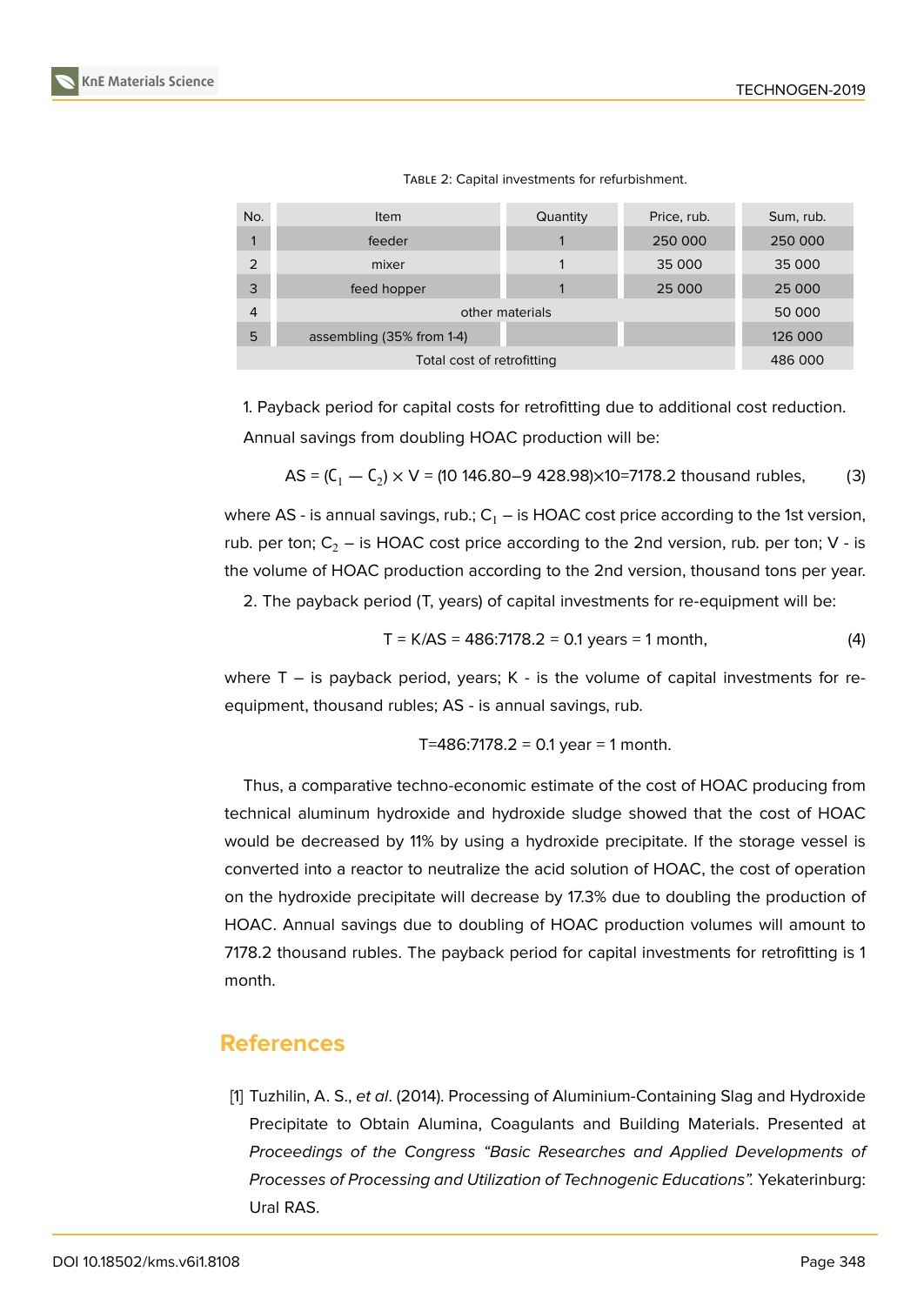

| No.            | <b>Item</b>               | Quantity | Price, rub. | Sum, rub. |  |
|----------------|---------------------------|----------|-------------|-----------|--|
|                | feeder                    |          | 250 000     | 250 000   |  |
| 2              | mixer                     |          | 35 000      | 35 000    |  |
| 3              | feed hopper               |          | 25 000      | 25 000    |  |
| $\overline{4}$ | other materials           | 50 000   |             |           |  |
| 5              | assembling (35% from 1-4) | 126 000  |             |           |  |
|                | 486 000                   |          |             |           |  |

TABLE 2: Capital investments for refurbishment.

1. Payback period for capital costs for retrofitting due to additional cost reduction. Annual savings from doubling HOAC production will be:

$$
AS = (C_1 - C_2) \times V = (10\ 146.80 - 9\ 428.98) \times 10 = 7178.2
$$
 thousand rubles, (3)

where AS - is annual savings, rub.;  $C_1$  – is HOAC cost price according to the 1st version, rub. per ton;  $C_2$  – is HOAC cost price according to the 2nd version, rub. per ton; V - is the volume of HOAC production according to the 2nd version, thousand tons per year.

2. The payback period (T, years) of capital investments for re-equipment will be:

$$
T = K/AS = 486:7178.2 = 0.1 \text{ years} = 1 \text{ month}, \tag{4}
$$

where  $T -$  is payback period, years; K - is the volume of capital investments for reequipment, thousand rubles; AS - is annual savings, rub.

T=486:7178.2 = 0.1 year = 1 month.

Thus, a comparative techno-economic estimate of the cost of HOAC producing from technical aluminum hydroxide and hydroxide sludge showed that the cost of HOAC would be decreased by 11% by using a hydroxide precipitate. If the storage vessel is converted into a reactor to neutralize the acid solution of HOAC, the cost of operation on the hydroxide precipitate will decrease by 17.3% due to doubling the production of HOAC. Annual savings due to doubling of HOAC production volumes will amount to 7178.2 thousand rubles. The payback period for capital investments for retrofitting is 1 month.

# **References**

<span id="page-4-0"></span>[1] Tuzhilin, A. S., *et al*. (2014). Processing of Aluminium-Containing Slag and Hydroxide Precipitate to Obtain Alumina, Coagulants and Building Materials. Presented at *Proceedings of the Congress "Basic Researches and Applied Developments of Processes of Processing and Utilization of Technogenic Educations".* Yekaterinburg: Ural RAS.